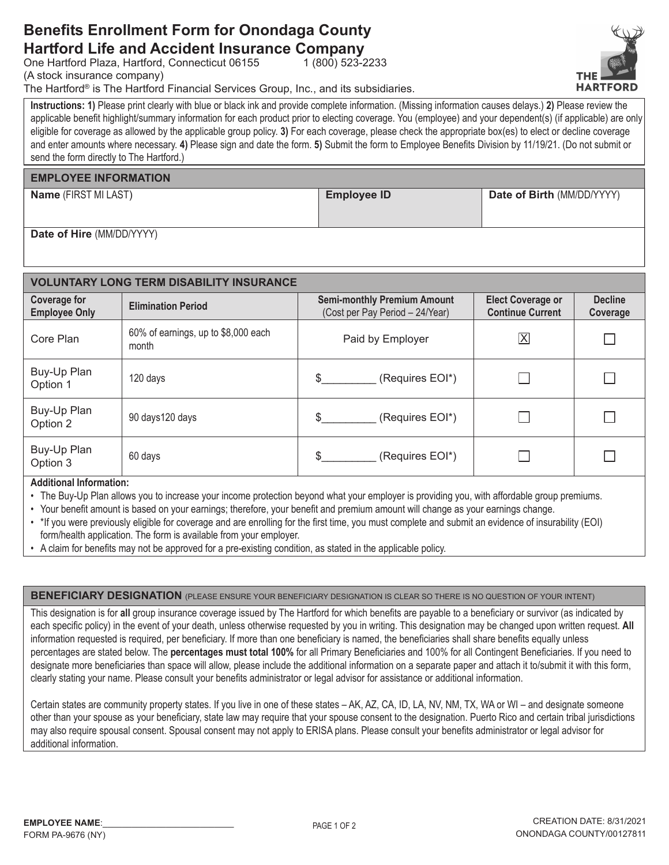## **Benefits Enrollment Form for Onondaga County Hartford Life and Accident Insurance Company**

One Hartford Plaza, Hartford, Connecticut 06155

(A stock insurance company)

The Hartford® is The Hartford Financial Services Group, Inc., and its subsidiaries.

Instructions: 1) Please print clearly with blue or black ink and provide complete information. (Missing information causes delays.) 2) Please review the applicable benefit highlight/summary information for each product prior to electing coverage. You (employee) and your dependent(s) (if applicable) are only eligible for coverage as allowed by the applicable group policy. 3) For each coverage, please check the appropriate box(es) to elect or decline coverage and enter amounts where necessary. 4) Please sign and date the form. 5) Submit the form to Employee Benefits Division by 11/19/21. (Do not submit or send the form directly to The Hartford.)

 $1(800)$  523-2233

#### **EMPLOYEE INFORMATION**

Name (FIRST MI LAST)

**Employee ID** 

Date of Birth (MM/DD/YYYY)

Date of Hire (MM/DD/YYYY)

| <b>VOLUNTARY LONG TERM DISABILITY INSURANCE</b> |                                              |                                                                       |                                                     |                            |  |  |  |  |
|-------------------------------------------------|----------------------------------------------|-----------------------------------------------------------------------|-----------------------------------------------------|----------------------------|--|--|--|--|
| <b>Coverage for</b><br><b>Employee Only</b>     | <b>Elimination Period</b>                    | <b>Semi-monthly Premium Amount</b><br>(Cost per Pay Period - 24/Year) | <b>Elect Coverage or</b><br><b>Continue Current</b> | <b>Decline</b><br>Coverage |  |  |  |  |
| Core Plan                                       | 60% of earnings, up to \$8,000 each<br>month | Paid by Employer                                                      | $\overline{\mathsf{X}}$                             |                            |  |  |  |  |
| Buy-Up Plan<br>Option 1                         | 120 days                                     | (Requires EOI*)<br>\$.                                                |                                                     |                            |  |  |  |  |
| Buy-Up Plan<br>Option 2                         | 90 days 120 days                             | \$.<br>(Requires EOI*)                                                |                                                     |                            |  |  |  |  |
| Buy-Up Plan<br>Option 3                         | 60 days                                      | \$.<br>(Requires EOI*)                                                |                                                     |                            |  |  |  |  |

**Additional Information:** 

- The Buy-Up Plan allows you to increase your income protection beyond what your employer is providing you, with affordable group premiums.
- Your benefit amount is based on your earnings; therefore, your benefit and premium amount will change as your earnings change.
- . \* If you were previously eligible for coverage and are enrolling for the first time, you must complete and submit an evidence of insurability (EOI) form/health application. The form is available from your employer.
- A claim for benefits may not be approved for a pre-existing condition, as stated in the applicable policy.

**BENEFICIARY DESIGNATION** (PLEASE ENSURE YOUR BENEFICIARY DESIGNATION IS CLEAR SO THERE IS NO QUESTION OF YOUR INTENT)

This designation is for all group insurance coverage issued by The Hartford for which benefits are payable to a beneficiary or survivor (as indicated by each specific policy) in the event of your death, unless otherwise requested by you in writing. This designation may be changed upon written request. All information requested is required, per beneficiary. If more than one beneficiary is named, the beneficiaries shall share benefits equally unless percentages are stated below. The percentages must total 100% for all Primary Beneficiaries and 100% for all Contingent Beneficiaries. If you need to designate more beneficiaries than space will allow, please include the additional information on a separate paper and attach it to/submit it with this form, clearly stating your name. Please consult your benefits administrator or legal advisor for assistance or additional information.

Certain states are community property states. If you live in one of these states - AK, AZ, CA, ID, LA, NV, NM, TX, WA or WI - and designate someone other than your spouse as your beneficiary, state law may require that your spouse consent to the designation. Puerto Rico and certain tribal jurisdictions may also require spousal consent. Spousal consent may not apply to ERISA plans. Please consult your benefits administrator or legal advisor for additional information.

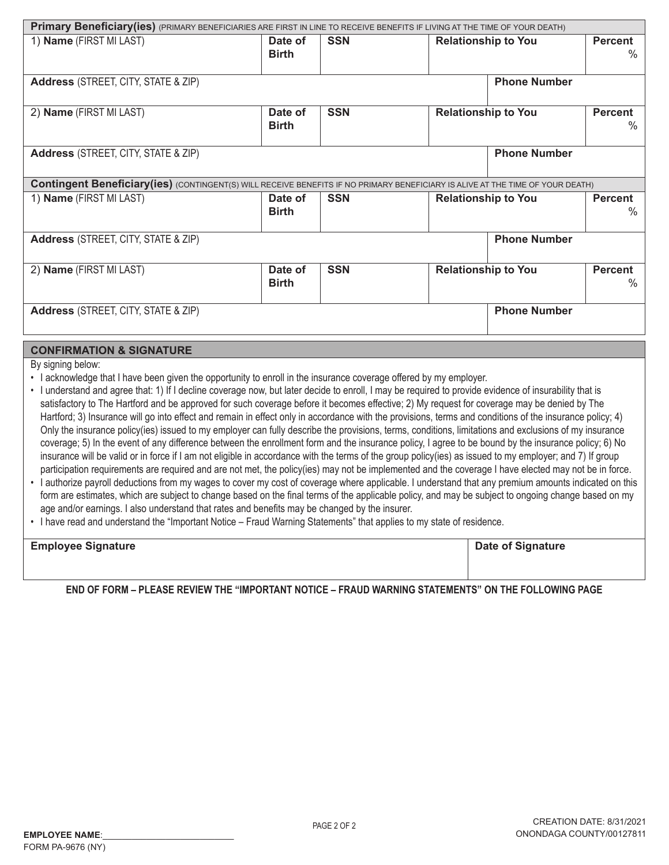| Primary Beneficiary(ies) (PRIMARY BENEFICIARIES ARE FIRST IN LINE TO RECEIVE BENEFITS IF LIVING AT THE TIME OF YOUR DEATH)             |                         |            |                                                      |                     |                        |  |  |
|----------------------------------------------------------------------------------------------------------------------------------------|-------------------------|------------|------------------------------------------------------|---------------------|------------------------|--|--|
| 1) Name (FIRST MI LAST)                                                                                                                | Date of<br><b>Birth</b> | <b>SSN</b> | <b>Relationship to You</b>                           |                     | <b>Percent</b><br>$\%$ |  |  |
| <b>Address</b> (STREET, CITY, STATE & ZIP)                                                                                             | <b>Phone Number</b>     |            |                                                      |                     |                        |  |  |
| 2) Name (FIRST MI LAST)                                                                                                                | Date of<br><b>Birth</b> | <b>SSN</b> | <b>Relationship to You</b><br><b>Percent</b>         |                     | ℅                      |  |  |
| <b>Phone Number</b><br><b>Address</b> (STREET, CITY, STATE & ZIP)                                                                      |                         |            |                                                      |                     |                        |  |  |
| <b>Contingent Beneficiary (ies)</b> (CONTINGENT(S) WILL RECEIVE BENEFITS IF NO PRIMARY BENEFICIARY IS ALIVE AT THE TIME OF YOUR DEATH) |                         |            |                                                      |                     |                        |  |  |
| 1) Name (FIRST MI LAST)                                                                                                                | Date of<br><b>Birth</b> | <b>SSN</b> | <b>Relationship to You</b><br><b>Percent</b><br>$\%$ |                     |                        |  |  |
| <b>Address</b> (STREET, CITY, STATE & ZIP)                                                                                             |                         |            |                                                      | <b>Phone Number</b> |                        |  |  |
| 2) Name (FIRST MI LAST)                                                                                                                | Date of<br><b>Birth</b> | <b>SSN</b> | <b>Relationship to You</b><br><b>Percent</b><br>$\%$ |                     |                        |  |  |
| <b>Address</b> (STREET, CITY, STATE & ZIP)                                                                                             |                         |            |                                                      | <b>Phone Number</b> |                        |  |  |

### **CONFIRMATION & SIGNATURE**

By signing below:

- I acknowledge that I have been given the opportunity to enroll in the insurance coverage offered by my employer.
- · I understand and agree that: 1) If I decline coverage now, but later decide to enroll, I may be required to provide evidence of insurability that is satisfactory to The Hartford and be approved for such coverage before it becomes effective; 2) My request for coverage may be denied by The Hartford; 3) Insurance will go into effect and remain in effect only in accordance with the provisions, terms and conditions of the insurance policy; 4) Only the insurance policy(ies) issued to my employer can fully describe the provisions, terms, conditions, limitations and exclusions of my insurance coverage; 5) In the event of any difference between the enrollment form and the insurance policy, I agree to be bound by the insurance policy; 6) No insurance will be valid or in force if I am not eligible in accordance with the terms of the group policy(ies) as issued to my employer; and 7) If group participation requirements are required and are not met, the policy(ies) may not be implemented and the coverage I have elected may not be in force.
- I authorize payroll deductions from my wages to cover my cost of coverage where applicable. I understand that any premium amounts indicated on this form are estimates, which are subject to change based on the final terms of the applicable policy, and may be subject to ongoing change based on my age and/or earnings. I also understand that rates and benefits may be changed by the insurer.
- . I have read and understand the "Important Notice Fraud Warning Statements" that applies to my state of residence.

| <b>Employee Signature</b> | <b>Date of Signature</b> |
|---------------------------|--------------------------|
|                           |                          |
|                           |                          |

END OF FORM – PLEASE REVIEW THE "IMPORTANT NOTICE – FRAUD WARNING STATEMENTS" ON THE FOLLOWING PAGE